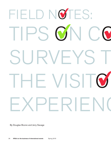## FIELD NOTES: TIPS ON CO SURVEYS T THE VISITO EXPERIEN(

By Douglas Boone and Jerry Savage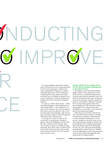# NDUCTING **GIMPROVE**

In today's highly competitive marketplace it has become more important than ever for event managers, vendors and other stakeholders to gain an in-depth understanding of the visitor experience. Analyzing the visitor experience helps marketers and coordinators optimize customer satisfaction, while inviting greater loyalty and word-of mouth recommendations.

R

CHE

In order to achieve these goals— while also identifying key visitor segments for advertising efforts— savvy planners conduct survey research. For event producers, the survey can be an effective way to collect data and create dialogue with visitors that can help to improve the offering and, ultimately, drive sales growth.

Event surveys can be carried out by event staff or consultants working together with staff. Regardless of who does the data collection and analysis, there are a variety of issues to consider during planning. This article takes a holistic look at the event survey process and provides practical tips for those who are considering an onsite survey.

### Clearly Define the Objectives of the Study Before Designing a Questionnaire

The ability to provide useful analysis begins with (1) clear objectives for the study and (2) a carefully designed questionnaire that directly addresses those objectives. Think about the exact wording of each survey question and how questions relate to one another. Will data collected from each question guide future decision-making and help marketers achieve their goals? If not, questions should probably be cut in order to save resources and avoid respondent fatigue.

Objectives may include a determination of preferred price points or timing, perceptions of vendors, entertainment or other attributes important to event success. Marketers may also want to conduct segmentation studies to identify key visitor groups and a marketing message that will resonate and drive attendance. In this case, one will need demographic, psychographic, behavioral (e.g., number of times attending or what was purchased at the event) and/or firmographic data appropriate for segmentation.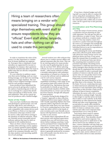Hiring a team of researchers often means bringing on a vendor with specialized training. This group should align themselves with event staff to ensure respondents know they are "official." Event staff shirts, lanyards, hats and other clothing can all be used to create this perception.

In order to maximize the value of the survey, it is also important to consider how in-house databases are segmented. If prospect lists or databases of past attendees are segmented by income or geography, for instance, then questions should be included that allow the team to gather data that are directly comparable to extant data.

If a core objective is audience expansion then survey findings, such as a marketing message, can be laid over matching segments in a larger database. The end result is micro targeted messages customized for each prospect segment.

Some producers have subsidized the survey process by giving select vendors the option of sponsoring part of the survey in exchange for a report that details visitor perceptions of their booth, wares and employees. This can be a good option for producers with a limited budget.

### Tools of the Trade

Once you have clarified your objectives and developed a questionnaire, you will need the right device and software to collect data. In some instances software is only compatible with certain devices such as an iPhone or iPad so it is important to determine what type of device will be used to collect data before turning to the question of software selection. There are currently several reasonably priced software options that may be used on Android or iOS enabled devices.

There are three critical components to consider when selecting a survey application: (1) Survey question types/capabilities; (2) whether the touch screen display needs to be consumer-friendly, and; (3) the data analytics and reporting capabilities of each package.

Several vendors now offer software that allows one to conduct surveys offline and upload responses after the event. This can be an enticing option for many producers who may be gathering data in areas that do not have WiFi. Before selecting software, be sure to understand its pricing model – often survey software is either a monthly subscription with unlimited respondents or is based on a license fee to access the software and an additional cost for each survey response.

Premium survey tools have multiple capabilities including a wide range of survey question types and control over the look and feel (e.g., big buttons that may be preferable in a kiosk set up). Premium tools include Qualtrics Mobile while HarvestYourData is a lower cost tool that has fewer features, though still adequate for most projects.

Consumer facing kiosks designed for a "passive" approach to data collection (explained below) may require software with visually appealing displays that have response sliders, big buttons and other features that make them very user-friendly. If you're conducting face-to-face intercepts, the tablet will be in the hands of your recruiters and a user-friendly survey layout with big buttons may be sacrificed in order to save money.

For kiosks where respondents fill out their surveys with minimal supervision, consider how you will lock down your device before making a purchase. Locks can be purchased from companies like Amazon or, in some cases, rented along with tablets. While large (e.g., 10 inch) tablets are often ideal for kiosks, a smaller device is generally preferred by recruiters who will actually carry the device in a face-to-face intercept.

If you have a limited budget and willing staff, you may be able to conduct the survey using their smartphones. This is the same process as conducting face-toface intercepts with a tablet and, in some cases, can be a good way to save precious resources.

### Coordination and Pre-Planning are Key

Given the nature of event surveys, project coordination and pre-planning are especially important. You only get one shot at data collection, so make it count. There are two primary methods to complete onsite work: (1) You may employ a team of researchers to conduct intercepts throughout the event or (2) managers may strategically place survey kiosks with one or dozens of individual devices in use for respondents to complete the questionnaire.

When planning the survey and thinking about data collection goals, think realistically about how many surveys can be completed per device per hour. If one survey takes five minutes then it's possible to complete 8 to 10 surveys per hour /per device. The remaining time is needed to recruit potential respondents. Recruiting survey respondents is a skill that interviewers and survey managers often develop over time. It should also be emphasized that incentives are often needed in order to persuade large numbers of visitors to take the survey. Response rates can vary greatly, based on the visitor base, incentives and the approach being used to recruit respondents.

In general, the survey should be no longer than three to five minutes. The shorter the better. If you are conducting intercepts in which interviewers administer the questionnaire to each respondent pilot testing is a good idea as this provides a fairly precise estimate of time-to-survey-completion. Administer the survey with a few co-workers or friends to estimate length. Typically it takes longer to read the survey out loud than it takes to read it silently. In the field respondents are often distracted by family, friends and other event happenings. A 90 second pilot in a sterile office should be considered at least a 2 minute survey in the field. It's better to estimate time conservatively and collect more responses than expected than it is to come up short.

Each device that is used to capture data should have a number or name associated with it. That identifier should be linked to each survey response. You will then have power to drill down to the device level if you see oddities in your data. A device identifier will also help you monitor your interviewers and determine which devices are optimally positioned to capture the greatest number of responses.

In some cases, survey software is configured to link a device to data automat-